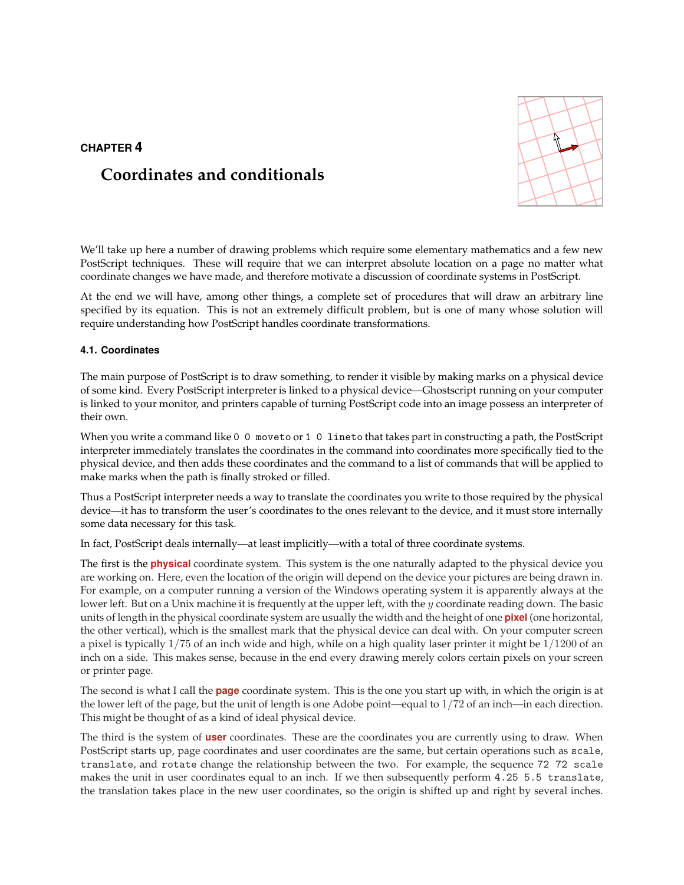# **CHAPTER 4 Coordinates and conditionals**



We'll take up here a number of drawing problems which require some elementary mathematics and a few new PostScript techniques. These will require that we can interpret absolute location on a page no matter what coordinate changes we have made, and therefore motivate a discussion of coordinate systems in PostScript.

At the end we will have, among other things, a complete set of procedures that will draw an arbitrary line specified by its equation. This is not an extremely difficult problem, but is one of many whose solution will require understanding how PostScript handles coordinate transformations.

## **4.1. Coordinates**

The main purpose of PostScript is to draw something, to render it visible by making marks on a physical device of some kind. Every PostScript interpreter is linked to a physical device—Ghostscript running on your computer is linked to your monitor, and printers capable of turning PostScript code into an image possess an interpreter of their own.

When you write a command like 0 0 moveto or 1 0 lineto that takes part in constructing a path, the PostScript interpreter immediately translates the coordinates in the command into coordinates more specifically tied to the physical device, and then adds these coordinates and the command to a list of commands that will be applied to make marks when the path is finally stroked or filled.

Thus a PostScript interpreter needs a way to translate the coordinates you write to those required by the physical device—it has to transform the user's coordinates to the ones relevant to the device, and it must store internally some data necessary for this task.

In fact, PostScript deals internally—at least implicitly—with a total of three coordinate systems.

The first is the **physical** coordinate system. This system is the one naturally adapted to the physical device you are working on. Here, even the location of the origin will depend on the device your pictures are being drawn in. For example, on a computer running a version of the Windows operating system it is apparently always at the lower left. But on a Unix machine it is frequently at the upper left, with the y coordinate reading down. The basic units of length in the physical coordinate system are usually the width and the height of one **pixel** (one horizontal, the other vertical), which is the smallest mark that the physical device can deal with. On your computer screen a pixel is typically 1/75 of an inch wide and high, while on a high quality laser printer it might be 1/1200 of an inch on a side. This makes sense, because in the end every drawing merely colors certain pixels on your screen or printer page.

The second is what I call the **page** coordinate system. This is the one you start up with, in which the origin is at the lower left of the page, but the unit of length is one Adobe point—equal to  $1/72$  of an inch—in each direction. This might be thought of as a kind of ideal physical device.

The third is the system of **user** coordinates. These are the coordinates you are currently using to draw. When PostScript starts up, page coordinates and user coordinates are the same, but certain operations such as scale, translate, and rotate change the relationship between the two. For example, the sequence 72 72 scale makes the unit in user coordinates equal to an inch. If we then subsequently perform 4.25 5.5 translate, the translation takes place in the new user coordinates, so the origin is shifted up and right by several inches.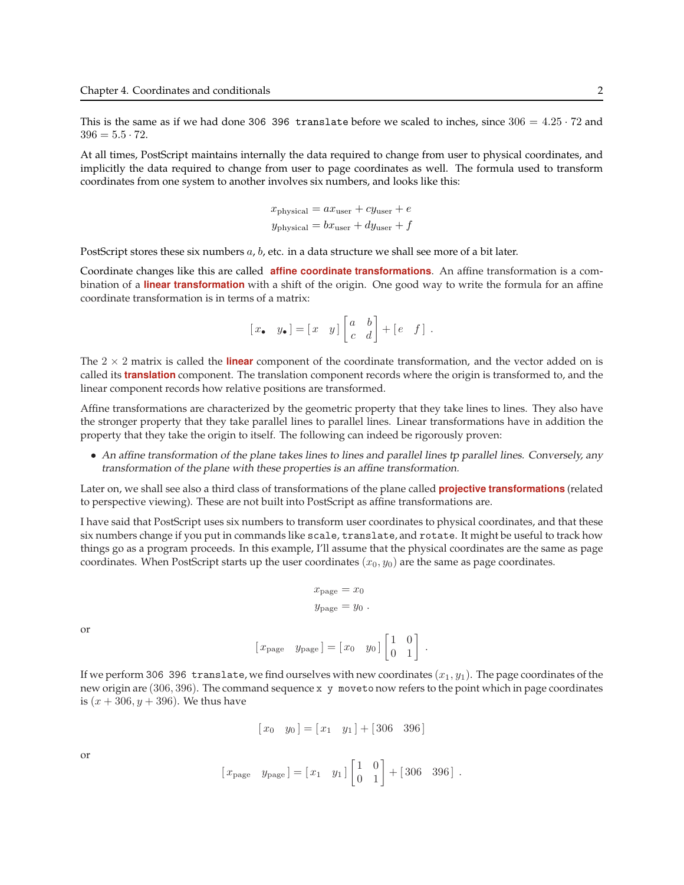This is the same as if we had done 306 396 translate before we scaled to inches, since  $306 = 4.25 \cdot 72$  and  $396 = 5.5 \cdot 72.$ 

At all times, PostScript maintains internally the data required to change from user to physical coordinates, and implicitly the data required to change from user to page coordinates as well. The formula used to transform coordinates from one system to another involves six numbers, and looks like this:

$$
x_{\text{physical}} = ax_{\text{user}} + cy_{\text{user}} + e
$$

$$
y_{\text{physical}} = bx_{\text{user}} + dy_{\text{user}} + f
$$

PostScript stores these six numbers  $a$ ,  $b$ , etc. in a data structure we shall see more of a bit later.

Coordinate changes like this are called **affine coordinate transformations**. An affine transformation is a combination of a **linear transformation** with a shift of the origin. One good way to write the formula for an affine coordinate transformation is in terms of a matrix:

$$
[x_{\bullet} \quad y_{\bullet}] = [x \quad y] \begin{bmatrix} a & b \\ c & d \end{bmatrix} + [e \quad f].
$$

The  $2 \times 2$  matrix is called the **linear** component of the coordinate transformation, and the vector added on is called its **translation** component. The translation component records where the origin is transformed to, and the linear component records how relative positions are transformed.

Affine transformations are characterized by the geometric property that they take lines to lines. They also have the stronger property that they take parallel lines to parallel lines. Linear transformations have in addition the property that they take the origin to itself. The following can indeed be rigorously proven:

• An affine transformation of the plane takes lines to lines and parallel lines tp parallel lines. Conversely, any transformation of the plane with these properties is an affine transformation.

Later on, we shall see also a third class of transformations of the plane called **projective transformations** (related to perspective viewing). These are not built into PostScript as affine transformations are.

I have said that PostScript uses six numbers to transform user coordinates to physical coordinates, and that these six numbers change if you put in commands like scale, translate, and rotate. It might be useful to track how things go as a program proceeds. In this example, I'll assume that the physical coordinates are the same as page coordinates. When PostScript starts up the user coordinates  $(x_0, y_0)$  are the same as page coordinates.

$$
x_{\text{page}} = x_0
$$
  

$$
y_{\text{page}} = y_0.
$$

or

$$
[x_{\text{page}} \quad y_{\text{page}}] = [x_0 \quad y_0] \begin{bmatrix} 1 & 0 \\ 0 & 1 \end{bmatrix}.
$$

If we perform 306 396 translate, we find ourselves with new coordinates  $(x_1, y_1)$ . The page coordinates of the new origin are (306, 396). The command sequence x y moveto now refers to the point which in page coordinates is  $(x + 306, y + 396)$ . We thus have

$$
[x_0 \quad y_0] = [x_1 \quad y_1] + [306 \quad 396]
$$

or

$$
\begin{bmatrix} x_{\text{page}} & y_{\text{page}} \end{bmatrix} = \begin{bmatrix} x_1 & y_1 \end{bmatrix} \begin{bmatrix} 1 & 0 \\ 0 & 1 \end{bmatrix} + \begin{bmatrix} 306 & 396 \end{bmatrix}.
$$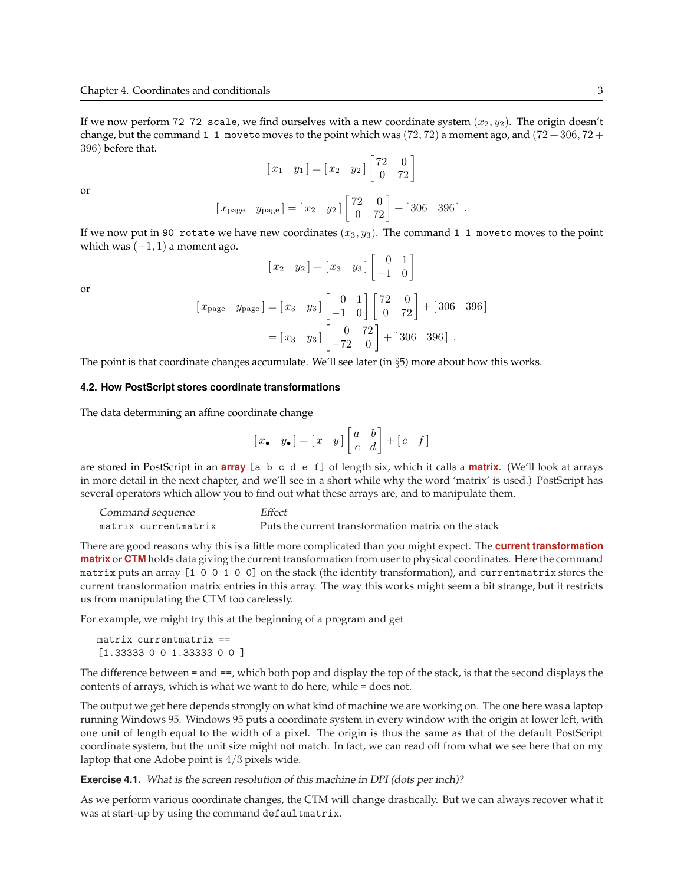If we now perform 72 72 scale, we find ourselves with a new coordinate system  $(x_2, y_2)$ . The origin doesn't change, but the command 1 1 moveto moves to the point which was  $(72, 72)$  a moment ago, and  $(72 + 306, 72 + 12)$ 396) before that.

$$
\begin{bmatrix} x_1 & y_1 \end{bmatrix} = \begin{bmatrix} x_2 & y_2 \end{bmatrix} \begin{bmatrix} 72 & 0 \\ 0 & 72 \end{bmatrix}
$$

or

$$
[x_{\text{page}} \quad y_{\text{page}}] = [x_2 \quad y_2] \begin{bmatrix} 72 & 0 \\ 0 & 72 \end{bmatrix} + [306 \quad 396] .
$$

If we now put in 90 rotate we have new coordinates  $(x_3, y_3)$ . The command 1 1 moveto moves to the point which was  $(-1, 1)$  a moment ago.

$$
\begin{bmatrix} x_2 & y_2 \end{bmatrix} = \begin{bmatrix} x_3 & y_3 \end{bmatrix} \begin{bmatrix} 0 & 1 \\ -1 & 0 \end{bmatrix}
$$

or

$$
\begin{bmatrix} x_{\text{page}} & y_{\text{page}} \end{bmatrix} = \begin{bmatrix} x_3 & y_3 \end{bmatrix} \begin{bmatrix} 0 & 1 \\ -1 & 0 \end{bmatrix} \begin{bmatrix} 72 & 0 \\ 0 & 72 \end{bmatrix} + \begin{bmatrix} 306 & 396 \end{bmatrix}
$$

$$
= \begin{bmatrix} x_3 & y_3 \end{bmatrix} \begin{bmatrix} 0 & 72 \\ -72 & 0 \end{bmatrix} + \begin{bmatrix} 306 & 396 \end{bmatrix}.
$$

The point is that coordinate changes accumulate. We'll see later (in §5) more about how this works.

## **4.2. How PostScript stores coordinate transformations**

The data determining an affine coordinate change

$$
[\mathbf{x}, \quad y_{\bullet}] = [\mathbf{x} \quad y] \begin{bmatrix} a & b \\ c & d \end{bmatrix} + [\mathbf{e} \quad \mathbf{f}]
$$

are stored in PostScript in an **array** [a b c d e f] of length six, which it calls a **matrix**. (We'll look at arrays in more detail in the next chapter, and we'll see in a short while why the word 'matrix' is used.) PostScript has several operators which allow you to find out what these arrays are, and to manipulate them.

```
Command sequence Effect
matrix currentmatrix Puts the current transformation matrix on the stack
```
There are good reasons why this is a little more complicated than you might expect. The **current transformation matrix** or **CTM** holds data giving the current transformation from user to physical coordinates. Here the command matrix puts an array [1 0 0 1 0 0] on the stack (the identity transformation), and currentmatrix stores the current transformation matrix entries in this array. The way this works might seem a bit strange, but it restricts us from manipulating the CTM too carelessly.

For example, we might try this at the beginning of a program and get

```
matrix currentmatrix ==
[1.33333 0 0 1.33333 0 0 ]
```
The difference between = and ==, which both pop and display the top of the stack, is that the second displays the contents of arrays, which is what we want to do here, while = does not.

The output we get here depends strongly on what kind of machine we are working on. The one here was a laptop running Windows 95. Windows 95 puts a coordinate system in every window with the origin at lower left, with one unit of length equal to the width of a pixel. The origin is thus the same as that of the default PostScript coordinate system, but the unit size might not match. In fact, we can read off from what we see here that on my laptop that one Adobe point is 4/3 pixels wide.

#### **Exercise 4.1.** What is the screen resolution of this machine in DPI (dots per inch)?

As we perform various coordinate changes, the CTM will change drastically. But we can always recover what it was at start-up by using the command defaultmatrix.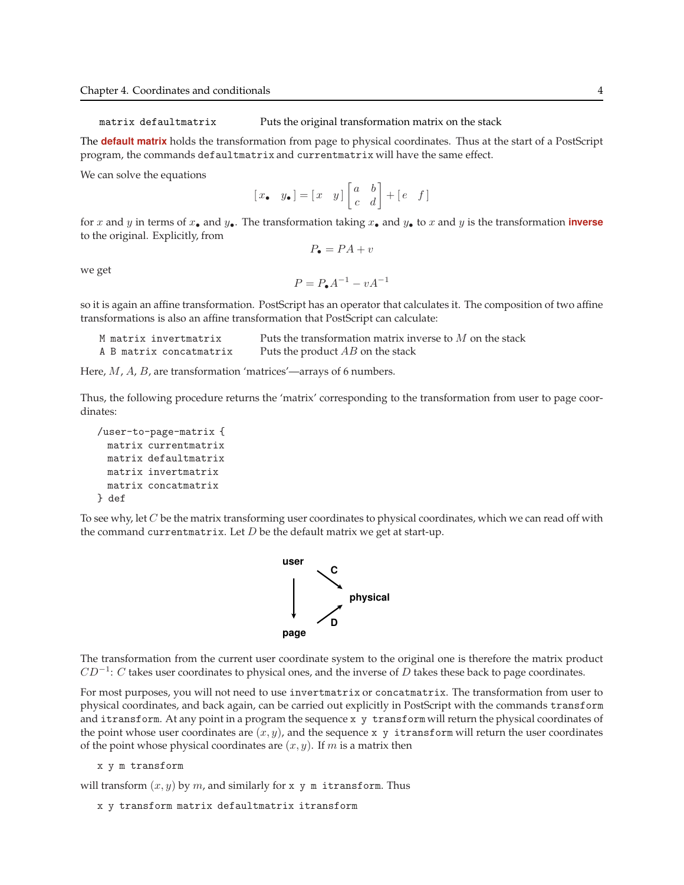matrix defaultmatrix Puts the original transformation matrix on the stack

The **default matrix** holds the transformation from page to physical coordinates. Thus at the start of a PostScript program, the commands defaultmatrix and currentmatrix will have the same effect.

We can solve the equations

$$
\begin{bmatrix} x & \mathbf{y} \\ \mathbf{y} & \mathbf{y} \end{bmatrix} = \begin{bmatrix} x & \mathbf{y} \end{bmatrix} \begin{bmatrix} a & b \\ c & d \end{bmatrix} + \begin{bmatrix} e & f \end{bmatrix}
$$

for x and y in terms of  $x_{\bullet}$  and  $y_{\bullet}$ . The transformation taking  $x_{\bullet}$  and  $y_{\bullet}$  to x and y is the transformation **inverse** to the original. Explicitly, from

$$
P_\bullet = PA + v
$$

we get

$$
P = P_{\bullet}A^{-1} - vA^{-1}
$$

so it is again an affine transformation. PostScript has an operator that calculates it. The composition of two affine transformations is also an affine transformation that PostScript can calculate:

| M matrix invertmatrix   | Puts the transformation matrix inverse to $M$ on the stack |
|-------------------------|------------------------------------------------------------|
| A B matrix concatmatrix | Puts the product AB on the stack                           |

Here,  $M$ ,  $A$ ,  $B$ , are transformation 'matrices'—arrays of 6 numbers.

Thus, the following procedure returns the 'matrix' corresponding to the transformation from user to page coordinates:

```
/user-to-page-matrix {
 matrix currentmatrix
 matrix defaultmatrix
 matrix invertmatrix
 matrix concatmatrix
} def
```
To see why, let  $C$  be the matrix transforming user coordinates to physical coordinates, which we can read off with the command currentmatrix. Let  $D$  be the default matrix we get at start-up.



The transformation from the current user coordinate system to the original one is therefore the matrix product  $CD^{-1}$ : C takes user coordinates to physical ones, and the inverse of D takes these back to page coordinates.

For most purposes, you will not need to use invertmatrix or concatmatrix. The transformation from user to physical coordinates, and back again, can be carried out explicitly in PostScript with the commands transform and itransform. At any point in a program the sequence x y transform will return the physical coordinates of the point whose user coordinates are  $(x, y)$ , and the sequence x y itransform will return the user coordinates of the point whose physical coordinates are  $(x, y)$ . If m is a matrix then

## x y m transform

will transform  $(x, y)$  by  $m$ , and similarly for x y m itransform. Thus

x y transform matrix defaultmatrix itransform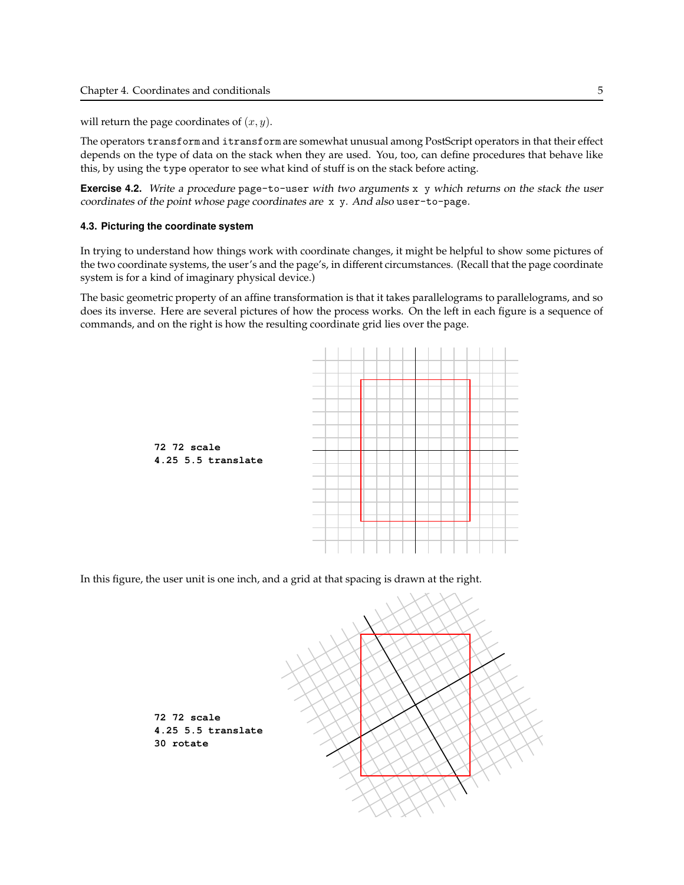will return the page coordinates of  $(x, y)$ .

The operators transform and itransform are somewhat unusual among PostScript operators in that their effect depends on the type of data on the stack when they are used. You, too, can define procedures that behave like this, by using the type operator to see what kind of stuff is on the stack before acting.

**Exercise 4.2.** Write a procedure page-to-user with two arguments x y which returns on the stack the user coordinates of the point whose page coordinates are x y. And also user-to-page.

## **4.3. Picturing the coordinate system**

In trying to understand how things work with coordinate changes, it might be helpful to show some pictures of the two coordinate systems, the user's and the page's, in different circumstances. (Recall that the page coordinate system is for a kind of imaginary physical device.)

The basic geometric property of an affine transformation is that it takes parallelograms to parallelograms, and so does its inverse. Here are several pictures of how the process works. On the left in each figure is a sequence of commands, and on the right is how the resulting coordinate grid lies over the page.



In this figure, the user unit is one inch, and a grid at that spacing is drawn at the right.

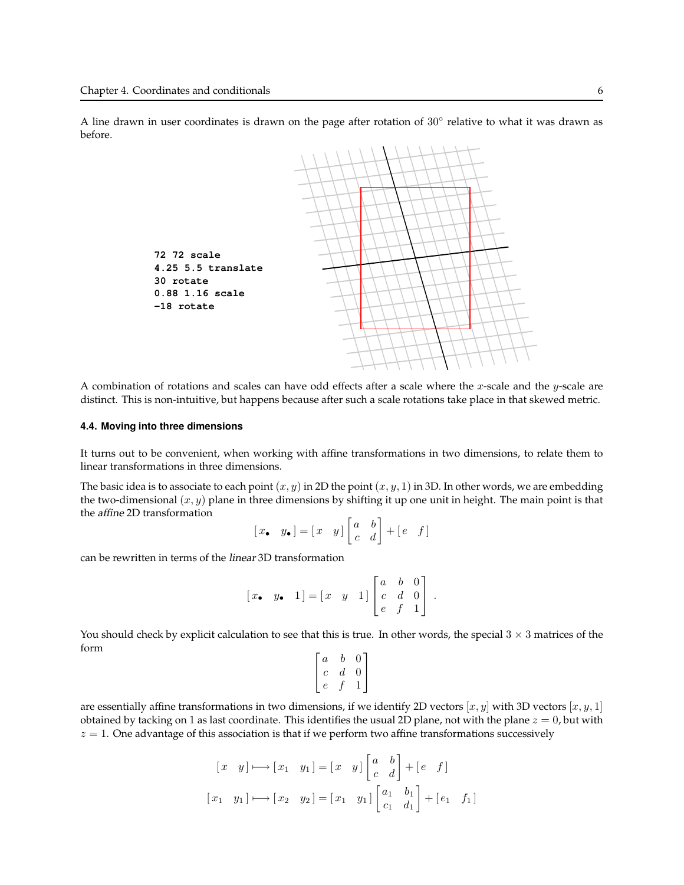A line drawn in user coordinates is drawn on the page after rotation of  $30^{\circ}$  relative to what it was drawn as before.



A combination of rotations and scales can have odd effects after a scale where the x-scale and the  $y$ -scale are distinct. This is non-intuitive, but happens because after such a scale rotations take place in that skewed metric.

#### **4.4. Moving into three dimensions**

It turns out to be convenient, when working with affine transformations in two dimensions, to relate them to linear transformations in three dimensions.

The basic idea is to associate to each point  $(x, y)$  in 2D the point  $(x, y, 1)$  in 3D. In other words, we are embedding the two-dimensional  $(x, y)$  plane in three dimensions by shifting it up one unit in height. The main point is that the affine 2D transformation

$$
[\mathbf{x}, \quad y_{\bullet}] = [\mathbf{x} \quad y] \begin{bmatrix} a & b \\ c & d \end{bmatrix} + [\mathbf{e} \quad f]
$$

can be rewritten in terms of the linear 3D transformation

$$
\begin{bmatrix} x_{\bullet} & y_{\bullet} & 1 \end{bmatrix} = \begin{bmatrix} x & y & 1 \end{bmatrix} \begin{bmatrix} a & b & 0 \\ c & d & 0 \\ e & f & 1 \end{bmatrix}.
$$

You should check by explicit calculation to see that this is true. In other words, the special  $3 \times 3$  matrices of the form

$$
\begin{bmatrix} a & b & 0 \\ c & d & 0 \\ e & f & 1 \end{bmatrix}
$$

are essentially affine transformations in two dimensions, if we identify 2D vectors  $[x, y]$  with 3D vectors  $[x, y, 1]$ obtained by tacking on 1 as last coordinate. This identifies the usual 2D plane, not with the plane  $z = 0$ , but with  $z = 1$ . One advantage of this association is that if we perform two affine transformations successively

$$
\begin{aligned}\n\begin{bmatrix} x & y \end{bmatrix} \longmapsto \begin{bmatrix} x_1 & y_1 \end{bmatrix} = \begin{bmatrix} x & y \end{bmatrix} \begin{bmatrix} a & b \\ c & d \end{bmatrix} + \begin{bmatrix} e & f \end{bmatrix} \\
\begin{bmatrix} x_1 & y_1 \end{bmatrix} \longmapsto \begin{bmatrix} x_2 & y_2 \end{bmatrix} = \begin{bmatrix} x_1 & y_1 \end{bmatrix} \begin{bmatrix} a_1 & b_1 \\ c_1 & d_1 \end{bmatrix} + \begin{bmatrix} e_1 & f_1 \end{bmatrix}\n\end{aligned}
$$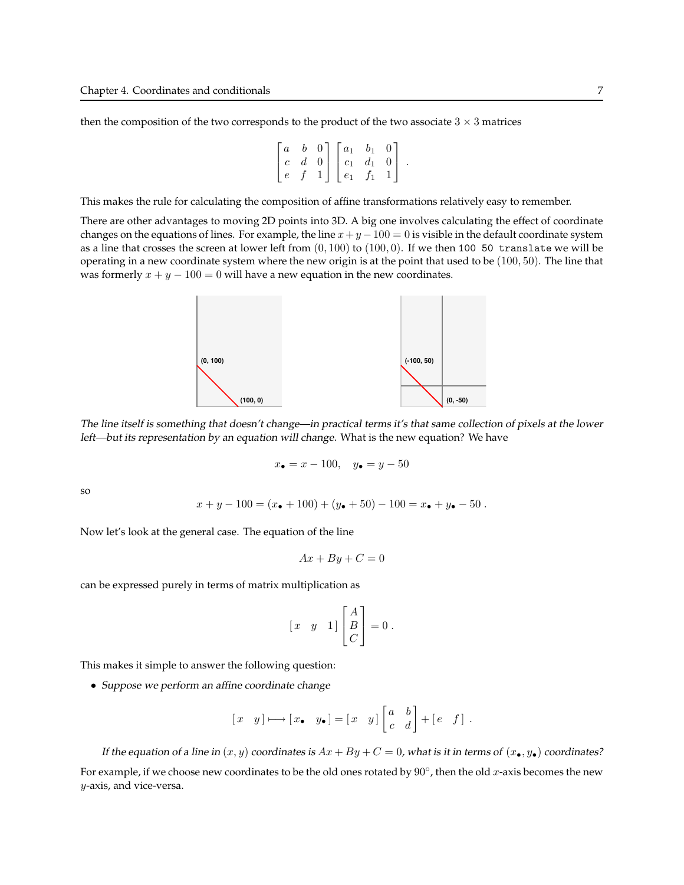then the composition of the two corresponds to the product of the two associate  $3 \times 3$  matrices

$$
\begin{bmatrix} a & b & 0 \ c & d & 0 \ e & f & 1 \end{bmatrix} \begin{bmatrix} a_1 & b_1 & 0 \ c_1 & d_1 & 0 \ e_1 & f_1 & 1 \end{bmatrix}.
$$

This makes the rule for calculating the composition of affine transformations relatively easy to remember.

There are other advantages to moving 2D points into 3D. A big one involves calculating the effect of coordinate changes on the equations of lines. For example, the line  $x+y-100 = 0$  is visible in the default coordinate system as a line that crosses the screen at lower left from  $(0, 100)$  to  $(100, 0)$ . If we then 100 50 translate we will be operating in a new coordinate system where the new origin is at the point that used to be (100, 50). The line that was formerly  $x + y - 100 = 0$  will have a new equation in the new coordinates.



The line itself is something that doesn't change—in practical terms it's that same collection of pixels at the lower left—but its representation by an equation will change. What is the new equation? We have

$$
x_{\bullet} = x - 100, \quad y_{\bullet} = y - 50
$$

so

$$
x + y - 100 = (x• + 100) + (y• + 50) - 100 = x• + y• - 50.
$$

Now let's look at the general case. The equation of the line

$$
Ax + By + C = 0
$$

can be expressed purely in terms of matrix multiplication as

$$
\begin{bmatrix} x & y & 1 \end{bmatrix} \begin{bmatrix} A \\ B \\ C \end{bmatrix} = 0 \, .
$$

This makes it simple to answer the following question:

• Suppose we perform an affine coordinate change

$$
[x \quad y] \longmapsto [x \bullet \ y \bullet] = [x \quad y] \begin{bmatrix} a & b \\ c & d \end{bmatrix} + [e \quad f].
$$

If the equation of a line in  $(x, y)$  coordinates is  $Ax + By + C = 0$ , what is it in terms of  $(x_*, y_*)$  coordinates? For example, if we choose new coordinates to be the old ones rotated by  $90^{\circ}$ , then the old x-axis becomes the new y-axis, and vice-versa.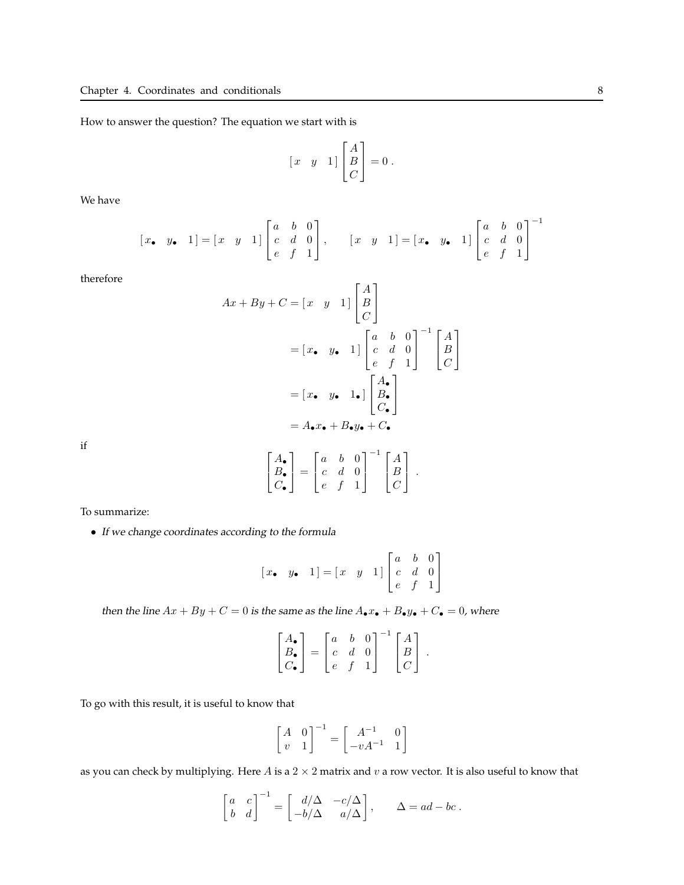How to answer the question? The equation we start with is

$$
\begin{bmatrix} x & y & 1 \end{bmatrix} \begin{bmatrix} A \\ B \\ C \end{bmatrix} = 0 \, .
$$

We have

$$
[x, y, 1] = [x, y, 1] \begin{bmatrix} a & b & 0 \\ c & d & 0 \\ e & f & 1 \end{bmatrix}, \quad [x, y, 1] = [x, y, 1] \begin{bmatrix} a & b & 0 \\ c & d & 0 \\ e & f & 1 \end{bmatrix}^{-1}
$$

therefore

$$
Ax + By + C = \begin{bmatrix} x & y & 1 \end{bmatrix} \begin{bmatrix} A \\ B \\ C \end{bmatrix}
$$

$$
= \begin{bmatrix} x & y & 1 \end{bmatrix} \begin{bmatrix} a & b & 0 \\ c & d & 0 \\ e & f & 1 \end{bmatrix}^{-1} \begin{bmatrix} A \\ B \\ C \end{bmatrix}
$$

$$
= \begin{bmatrix} x & y & 1 \\ -a & x & b \end{bmatrix} \begin{bmatrix} A & A \\ B & A \\ C & D \end{bmatrix}
$$

$$
= A \cdot x + B \cdot y + C \cdot
$$

if

$$
\begin{bmatrix} A_{\bullet} \\ B_{\bullet} \\ C_{\bullet} \end{bmatrix} = \begin{bmatrix} a & b & 0 \\ c & d & 0 \\ e & f & 1 \end{bmatrix}^{-1} \begin{bmatrix} A \\ B \\ C \end{bmatrix}.
$$

To summarize:

• If we change coordinates according to the formula

$$
\begin{bmatrix} x_{\bullet} & y_{\bullet} & 1 \end{bmatrix} = \begin{bmatrix} x & y & 1 \end{bmatrix} \begin{bmatrix} a & b & 0 \\ c & d & 0 \\ e & f & 1 \end{bmatrix}
$$

then the line  $Ax + By + C = 0$  is the same as the line  $A_{\bullet}x_{\bullet} + B_{\bullet}y_{\bullet} + C_{\bullet} = 0$ , where

$$
\begin{bmatrix} A_{\bullet} \\ B_{\bullet} \\ C_{\bullet} \end{bmatrix} = \begin{bmatrix} a & b & 0 \\ c & d & 0 \\ e & f & 1 \end{bmatrix}^{-1} \begin{bmatrix} A \\ B \\ C \end{bmatrix}.
$$

To go with this result, it is useful to know that

$$
\left[ \begin{matrix} A & 0 \\ v & 1 \end{matrix} \right]^{-1} = \left[ \begin{matrix} A^{-1} & 0 \\ -vA^{-1} & 1 \end{matrix} \right]
$$

as you can check by multiplying. Here  $A$  is a  $2\times 2$  matrix and  $v$  a row vector. It is also useful to know that

$$
\left[ \begin{matrix} a & c \\ b & d \end{matrix} \right]^{-1} = \left[ \begin{matrix} d/\Delta & -c/\Delta \\ -b/\Delta & a/\Delta \end{matrix} \right], \qquad \Delta = ad-bc \; .
$$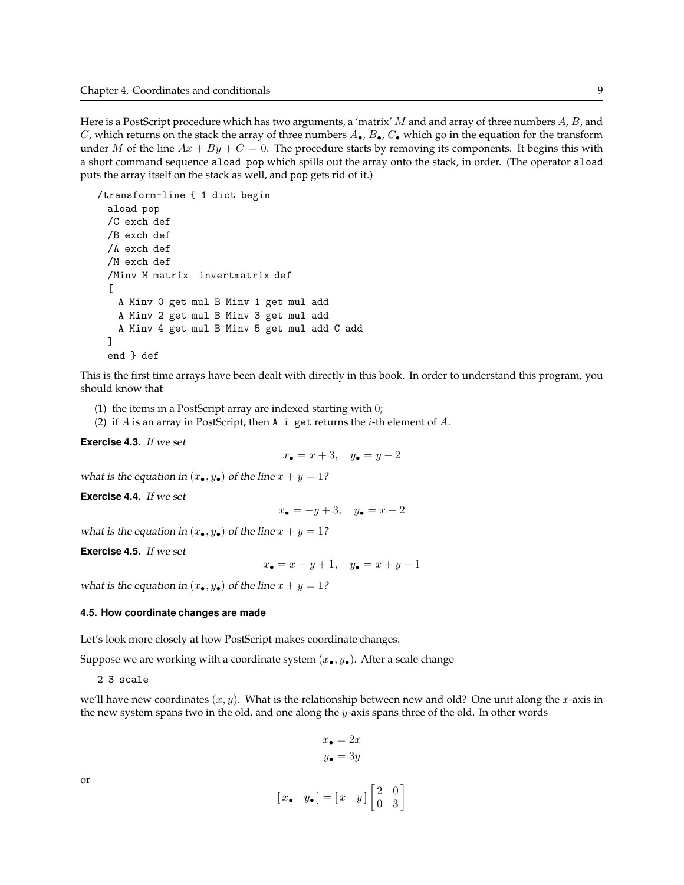Here is a PostScript procedure which has two arguments, a 'matrix'  $M$  and and array of three numbers  $A$ ,  $B$ , and C, which returns on the stack the array of three numbers  $A_{\bullet}$ ,  $B_{\bullet}$ ,  $C_{\bullet}$  which go in the equation for the transform under M of the line  $Ax + By + C = 0$ . The procedure starts by removing its components. It begins this with a short command sequence aload pop which spills out the array onto the stack, in order. (The operator aload puts the array itself on the stack as well, and pop gets rid of it.)

```
/transform-line { 1 dict begin
 aload pop
 /C exch def
 /B exch def
 /A exch def
 /M exch def
 /Minv M matrix invertmatrix def
  [
   A Minv 0 get mul B Minv 1 get mul add
   A Minv 2 get mul B Minv 3 get mul add
   A Minv 4 get mul B Minv 5 get mul add C add
 ]
 end } def
```
This is the first time arrays have been dealt with directly in this book. In order to understand this program, you should know that

- (1) the items in a PostScript array are indexed starting with 0;
- (2) if  $A$  is an array in PostScript, then  $A$  i get returns the *i*-th element of  $A$ .

**Exercise 4.3.** If we set

 $x_{\bullet} = x + 3, \quad y_{\bullet} = y - 2$ 

what is the equation in  $(x_{\bullet}, y_{\bullet})$  of the line  $x + y = 1$ ?

**Exercise 4.4.** If we set

$$
x_{\bullet} = -y + 3, \quad y_{\bullet} = x - 2
$$

what is the equation in  $(x_{\bullet}, y_{\bullet})$  of the line  $x + y = 1$ ?

**Exercise 4.5.** If we set

 $x_{\bullet} = x - y + 1, \quad y_{\bullet} = x + y - 1$ 

what is the equation in  $(x_{\bullet}, y_{\bullet})$  of the line  $x + y = 1$ ?

#### **4.5. How coordinate changes are made**

Let's look more closely at how PostScript makes coordinate changes.

Suppose we are working with a coordinate system  $(x_{\bullet}, y_{\bullet})$ . After a scale change

2 3 scale

we'll have new coordinates  $(x, y)$ . What is the relationship between new and old? One unit along the x-axis in the new system spans two in the old, and one along the y-axis spans three of the old. In other words

$$
x_{\bullet} = 2x
$$

$$
y_{\bullet} = 3y
$$

or

$$
\begin{bmatrix} x & y \\ y & z \end{bmatrix} = \begin{bmatrix} x & y \end{bmatrix} \begin{bmatrix} 2 & 0 \\ 0 & 3 \end{bmatrix}
$$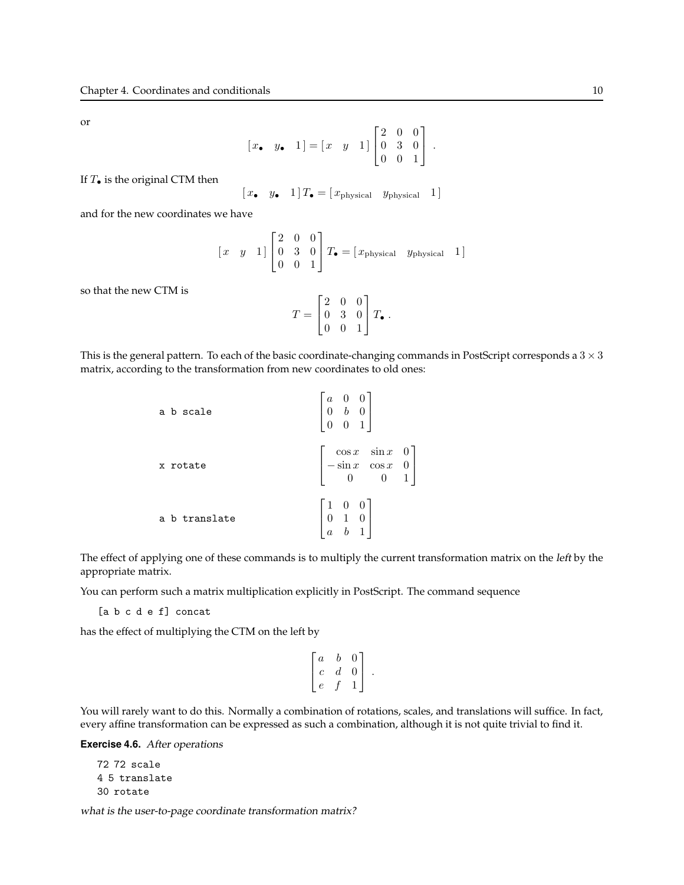or

$$
\begin{bmatrix} x_{\bullet} & y_{\bullet} & 1 \end{bmatrix} = \begin{bmatrix} x & y & 1 \end{bmatrix} \begin{bmatrix} 2 & 0 & 0 \\ 0 & 3 & 0 \\ 0 & 0 & 1 \end{bmatrix}.
$$

If  $T_{\bullet}$  is the original CTM then

$$
\begin{bmatrix} x_{\bullet} & y_{\bullet} & 1 \end{bmatrix} T_{\bullet} = \begin{bmatrix} x_{\text{physical}} & y_{\text{physical}} & 1 \end{bmatrix}
$$

and for the new coordinates we have

$$
\begin{bmatrix} x & y & 1 \end{bmatrix} \begin{bmatrix} 2 & 0 & 0 \\ 0 & 3 & 0 \\ 0 & 0 & 1 \end{bmatrix} T_{\bullet} = \begin{bmatrix} x_{\text{physical}} & y_{\text{physical}} & 1 \end{bmatrix}
$$

so that the new CTM is

$$
T = \begin{bmatrix} 2 & 0 & 0 \\ 0 & 3 & 0 \\ 0 & 0 & 1 \end{bmatrix} T_{\bullet}.
$$

This is the general pattern. To each of the basic coordinate-changing commands in PostScript corresponds a  $3 \times 3$ matrix, according to the transformation from new coordinates to old ones:

 $\overline{a}$ 

| a b scale     | $\begin{bmatrix} a & 0 & 0 \\ 0 & b & 0 \\ 0 & 0 & 1 \end{bmatrix}$                      |
|---------------|------------------------------------------------------------------------------------------|
| x rotate      | $\begin{bmatrix} \cos x & \sin x & 0 \\ -\sin x & \cos x & 0 \\ 0 & 0 & 1 \end{bmatrix}$ |
| a b translate | $\begin{bmatrix} 1 & 0 & 0 \\ 0 & 1 & 0 \\ a & b & 1 \end{bmatrix}$                      |

The effect of applying one of these commands is to multiply the current transformation matrix on the left by the appropriate matrix.

You can perform such a matrix multiplication explicitly in PostScript. The command sequence

[a b c d e f] concat

has the effect of multiplying the CTM on the left by

$$
\begin{bmatrix} a & b & 0 \\ c & d & 0 \\ e & f & 1 \end{bmatrix}.
$$

You will rarely want to do this. Normally a combination of rotations, scales, and translations will suffice. In fact, every affine transformation can be expressed as such a combination, although it is not quite trivial to find it.

**Exercise 4.6.** After operations

```
72 72 scale
4 5 translate
30 rotate
```
what is the user-to-page coordinate transformation matrix?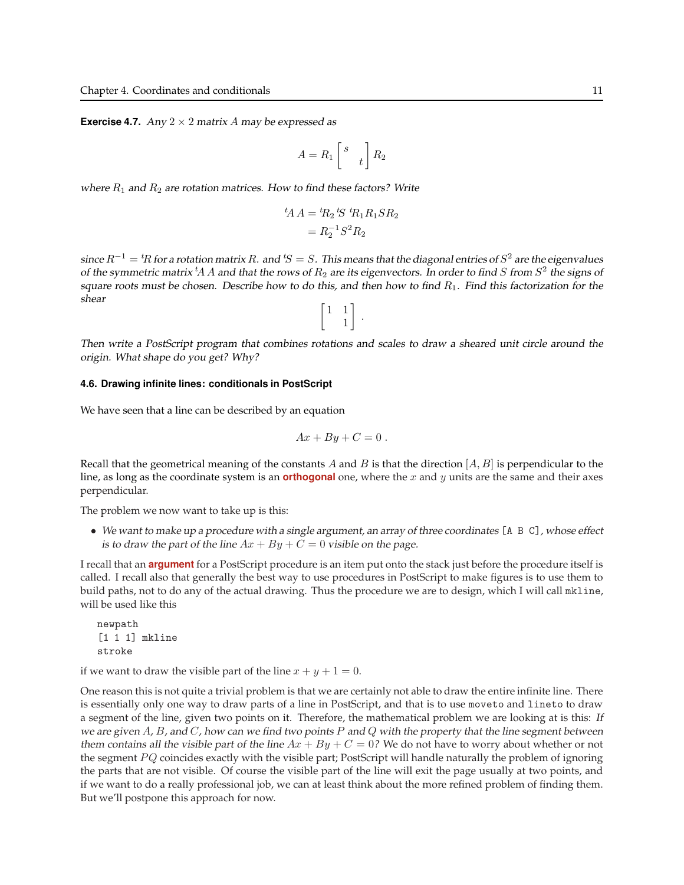**Exercise 4.7.** Any  $2 \times 2$  matrix A may be expressed as

$$
A = R_1 \begin{bmatrix} s & t \end{bmatrix} R_2
$$

where  $R_1$  and  $R_2$  are rotation matrices. How to find these factors? Write

$$
{}^{t}A A = {}^{t}R_2 {}^{t}S {}^{t}R_1 R_1 S R_2
$$

$$
= R_2^{-1} S^2 R_2
$$

since  $R^{-1} = {}^t\!R$  for a rotation matrix  $R$ . and  ${}^t\!S = S$ . This means that the diagonal entries of  $S^2$  are the eigenvalues of the symmetric matrix  ${}^t\!A\,A$  and that the rows of  $R_2$  are its eigenvectors. In order to find  $S$  from  $S^2$  the signs of square roots must be chosen. Describe how to do this, and then how to find  $R_1$ . Find this factorization for the shear

$$
\left[\begin{matrix} 1 & 1 \\ & 1 \end{matrix}\right].
$$

Then write <sup>a</sup> PostScript program that combines rotations and scales to draw <sup>a</sup> sheared unit circle around the origin. What shape do you get? Why?

#### **4.6. Drawing infinite lines: conditionals in PostScript**

We have seen that a line can be described by an equation

$$
Ax + By + C = 0.
$$

Recall that the geometrical meaning of the constants A and B is that the direction  $[A, B]$  is perpendicular to the line, as long as the coordinate system is an **orthogonal** one, where the x and y units are the same and their axes perpendicular.

The problem we now want to take up is this:

• We want to make up <sup>a</sup> procedure with <sup>a</sup> single argument, an array of three coordinates [A B C], whose effect is to draw the part of the line  $Ax + By + C = 0$  visible on the page.

I recall that an **argument** for a PostScript procedure is an item put onto the stack just before the procedure itself is called. I recall also that generally the best way to use procedures in PostScript to make figures is to use them to build paths, not to do any of the actual drawing. Thus the procedure we are to design, which I will call mkline, will be used like this

newpath [1 1 1] mkline stroke

if we want to draw the visible part of the line  $x + y + 1 = 0$ .

One reason this is not quite a trivial problem is that we are certainly not able to draw the entire infinite line. There is essentially only one way to draw parts of a line in PostScript, and that is to use moveto and lineto to draw a segment of the line, given two points on it. Therefore, the mathematical problem we are looking at is this: If we are given  $A$ ,  $B$ , and  $C$ , how can we find two points  $P$  and  $Q$  with the property that the line segment between them contains all the visible part of the line  $Ax + By + C = 0$ ? We do not have to worry about whether or not the segment  $PQ$  coincides exactly with the visible part; PostScript will handle naturally the problem of ignoring the parts that are not visible. Of course the visible part of the line will exit the page usually at two points, and if we want to do a really professional job, we can at least think about the more refined problem of finding them. But we'll postpone this approach for now.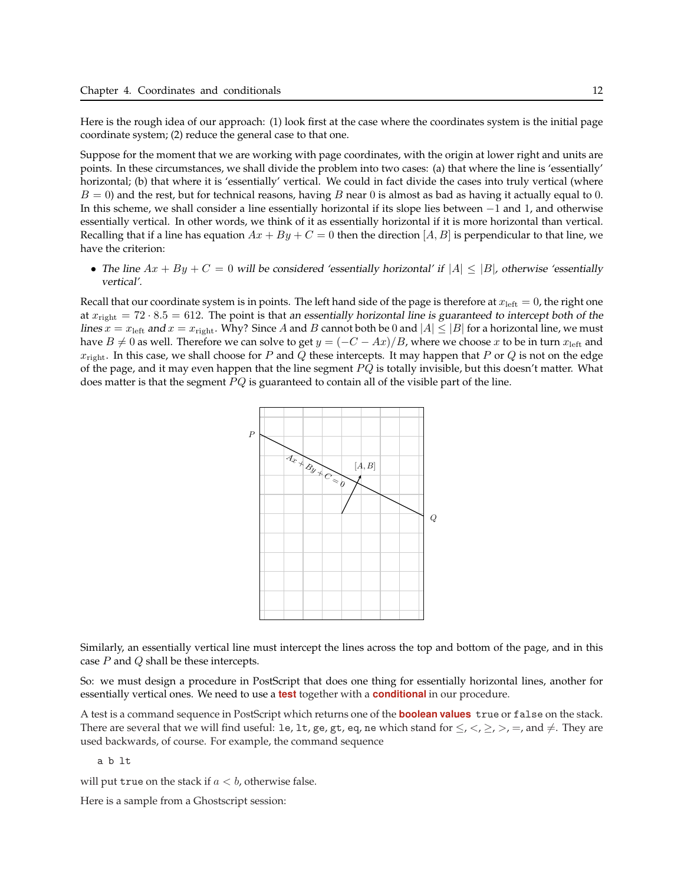Here is the rough idea of our approach: (1) look first at the case where the coordinates system is the initial page coordinate system; (2) reduce the general case to that one.

Suppose for the moment that we are working with page coordinates, with the origin at lower right and units are points. In these circumstances, we shall divide the problem into two cases: (a) that where the line is 'essentially' horizontal; (b) that where it is 'essentially' vertical. We could in fact divide the cases into truly vertical (where  $B = 0$ ) and the rest, but for technical reasons, having B near 0 is almost as bad as having it actually equal to 0. In this scheme, we shall consider a line essentially horizontal if its slope lies between −1 and 1, and otherwise essentially vertical. In other words, we think of it as essentially horizontal if it is more horizontal than vertical. Recalling that if a line has equation  $Ax + By + C = 0$  then the direction  $[A, B]$  is perpendicular to that line, we have the criterion:

• The line  $Ax + By + C = 0$  will be considered 'essentially horizontal' if  $|A| \leq |B|$ , otherwise 'essentially vertical'.

Recall that our coordinate system is in points. The left hand side of the page is therefore at  $x_{\text{left}} = 0$ , the right one at  $x_{\text{right}} = 72 \cdot 8.5 = 612$ . The point is that an essentially horizontal line is guaranteed to intercept both of the lines  $x = x_{\text{left}}$  and  $x = x_{\text{right}}$ . Why? Since A and B cannot both be 0 and  $|A| \leq |B|$  for a horizontal line, we must have  $B \neq 0$  as well. Therefore we can solve to get  $y = (-C - Ax)/B$ , where we choose x to be in turn  $x_{\text{left}}$  and  $x_{\text{right}}$ . In this case, we shall choose for P and Q these intercepts. It may happen that P or Q is not on the edge of the page, and it may even happen that the line segment  $PQ$  is totally invisible, but this doesn't matter. What does matter is that the segment  $PQ$  is guaranteed to contain all of the visible part of the line.



Similarly, an essentially vertical line must intercept the lines across the top and bottom of the page, and in this case  $P$  and  $Q$  shall be these intercepts.

So: we must design a procedure in PostScript that does one thing for essentially horizontal lines, another for essentially vertical ones. We need to use a **test** together with a **conditional** in our procedure.

A test is a command sequence in PostScript which returns one of the **boolean values** true or false on the stack. There are several that we will find useful: le, lt, ge, gt, eq, ne which stand for  $\leq, \leq, \geq, \geq, =$ , and  $\neq$ . They are used backwards, of course. For example, the command sequence

a b lt

will put true on the stack if  $a < b$ , otherwise false.

Here is a sample from a Ghostscript session: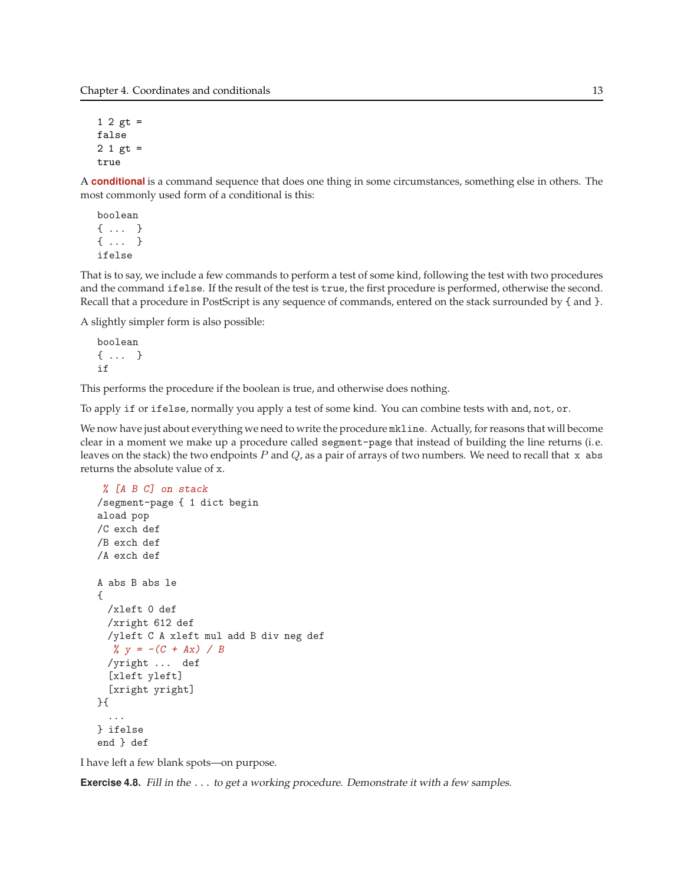1 2  $gt =$ false  $2 1 gt =$ true

A **conditional** is a command sequence that does one thing in some circumstances, something else in others. The most commonly used form of a conditional is this:

```
boolean
{ ... }
{ ... }
ifelse
```
That is to say, we include a few commands to perform a test of some kind, following the test with two procedures and the command ifelse. If the result of the test is true, the first procedure is performed, otherwise the second. Recall that a procedure in PostScript is any sequence of commands, entered on the stack surrounded by { and }.

A slightly simpler form is also possible:

```
boolean
{ ... }
if
```
This performs the procedure if the boolean is true, and otherwise does nothing.

To apply if or ifelse, normally you apply a test of some kind. You can combine tests with and, not, or.

We now have just about everything we need to write the procedure mkline. Actually, for reasons that will become clear in a moment we make up a procedure called segment-page that instead of building the line returns (i.e. leaves on the stack) the two endpoints  $P$  and  $Q$ , as a pair of arrays of two numbers. We need to recall that  $x$  abs returns the absolute value of x.

```
% [A B C] on stack
/segment-page { 1 dict begin
aload pop
/C exch def
/B exch def
/A exch def
A abs B abs le
{
 /xleft 0 def
 /xright 612 def
 /yleft C A xleft mul add B div neg def
  % y = -(C + Ax) / B/yright ... def
  [xleft yleft]
  [xright yright]
}{
  ...
} ifelse
end } def
```
I have left a few blank spots—on purpose.

**Exercise 4.8.** Fill in the ... to get a working procedure. Demonstrate it with a few samples.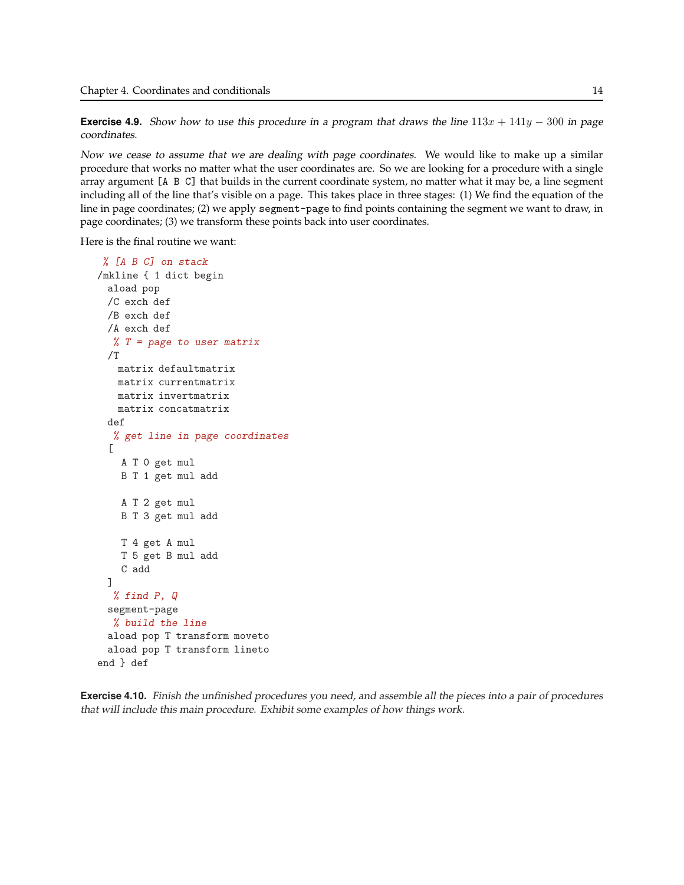**Exercise 4.9.** Show how to use this procedure in a program that draws the line  $113x + 141y - 300$  in page coordinates.

Now we cease to assume that we are dealing with page coordinates. We would like to make up a similar procedure that works no matter what the user coordinates are. So we are looking for a procedure with a single array argument [A B C] that builds in the current coordinate system, no matter what it may be, a line segment including all of the line that's visible on a page. This takes place in three stages: (1) We find the equation of the line in page coordinates; (2) we apply segment-page to find points containing the segment we want to draw, in page coordinates; (3) we transform these points back into user coordinates.

Here is the final routine we want:

```
% [A B C] on stack
/mkline { 1 dict begin
  aload pop
  /C exch def
 /B exch def
 /A exch def
  \% T = page to user matrix
  /Tmatrix defaultmatrix
   matrix currentmatrix
   matrix invertmatrix
   matrix concatmatrix
  def
  % get line in page coordinates
  \GammaA T 0 get mul
    B T 1 get mul add
    A T 2 get mul
    B T 3 get mul add
    T 4 get A mul
    T 5 get B mul add
    C add
  ]
  % find P, Q
  segment-page
  % build the line
  aload pop T transform moveto
  aload pop T transform lineto
end } def
```
**Exercise 4.10.** Finish the unfinished procedures you need, and assemble all the pieces into <sup>a</sup> pair of procedures that will include this main procedure. Exhibit some examples of how things work.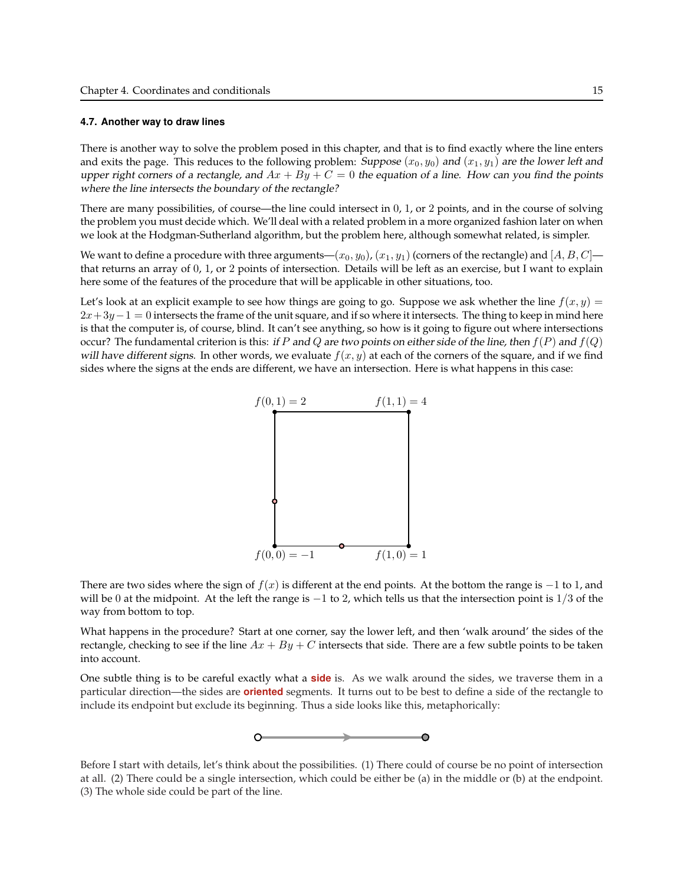#### **4.7. Another way to draw lines**

There is another way to solve the problem posed in this chapter, and that is to find exactly where the line enters and exits the page. This reduces to the following problem: Suppose  $(x_0, y_0)$  and  $(x_1, y_1)$  are the lower left and upper right corners of a rectangle, and  $Ax + By + C = 0$  the equation of a line. How can you find the points where the line intersects the boundary of the rectangle?

There are many possibilities, of course—the line could intersect in 0, 1, or 2 points, and in the course of solving the problem you must decide which. We'll deal with a related problem in a more organized fashion later on when we look at the Hodgman-Sutherland algorithm, but the problem here, although somewhat related, is simpler.

We want to define a procedure with three arguments—( $x_0, y_0$ ),  $(x_1, y_1)$  (corners of the rectangle) and  $[A, B, C]$  that returns an array of 0, 1, or 2 points of intersection. Details will be left as an exercise, but I want to explain here some of the features of the procedure that will be applicable in other situations, too.

Let's look at an explicit example to see how things are going to go. Suppose we ask whether the line  $f(x, y) =$  $2x+3y-1=0$  intersects the frame of the unit square, and if so where it intersects. The thing to keep in mind here is that the computer is, of course, blind. It can't see anything, so how is it going to figure out where intersections occur? The fundamental criterion is this: if P and Q are two points on either side of the line, then  $f(P)$  and  $f(Q)$ will have different signs. In other words, we evaluate  $f(x, y)$  at each of the corners of the square, and if we find sides where the signs at the ends are different, we have an intersection. Here is what happens in this case:



There are two sides where the sign of  $f(x)$  is different at the end points. At the bottom the range is −1 to 1, and will be 0 at the midpoint. At the left the range is  $-1$  to 2, which tells us that the intersection point is 1/3 of the way from bottom to top.

What happens in the procedure? Start at one corner, say the lower left, and then 'walk around' the sides of the rectangle, checking to see if the line  $Ax + By + C$  intersects that side. There are a few subtle points to be taken into account.

One subtle thing is to be careful exactly what a **side** is. As we walk around the sides, we traverse them in a particular direction—the sides are **oriented** segments. It turns out to be best to define a side of the rectangle to include its endpoint but exclude its beginning. Thus a side looks like this, metaphorically:



Before I start with details, let's think about the possibilities. (1) There could of course be no point of intersection at all. (2) There could be a single intersection, which could be either be (a) in the middle or (b) at the endpoint. (3) The whole side could be part of the line.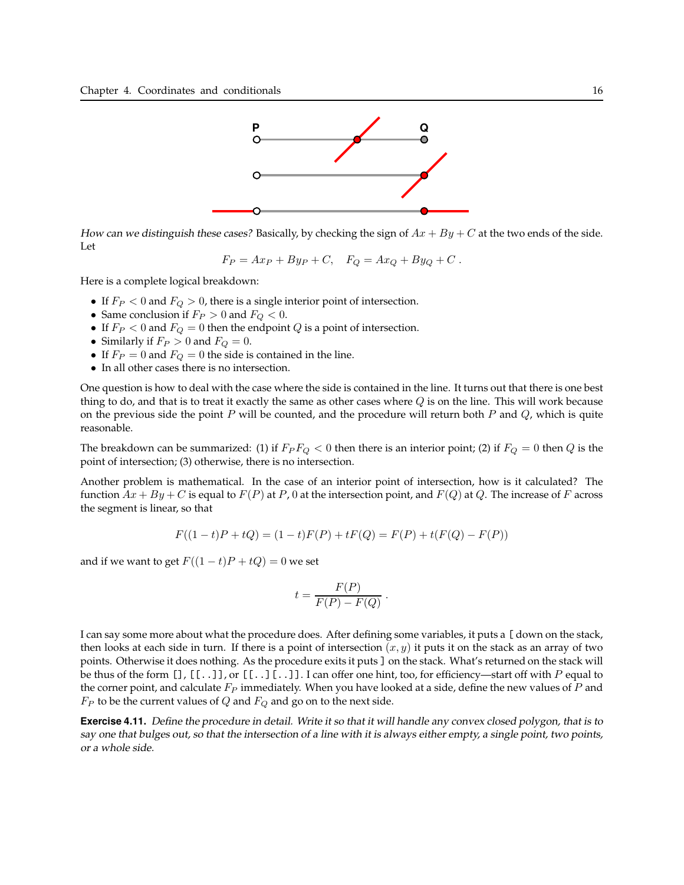

How can we distinguish these cases? Basically, by checking the sign of  $Ax + By + C$  at the two ends of the side. Let

$$
F_P = Ax_P + By_P + C, \quad F_Q = Ax_Q + By_Q + C.
$$

Here is a complete logical breakdown:

- If  $F_P < 0$  and  $F_Q > 0$ , there is a single interior point of intersection.
- Same conclusion if  $F_P > 0$  and  $F_Q < 0$ .
- If  $F_P < 0$  and  $F_Q = 0$  then the endpoint Q is a point of intersection.
- Similarly if  $F_P > 0$  and  $F_Q = 0$ .
- If  $F_P = 0$  and  $F_Q = 0$  the side is contained in the line.
- In all other cases there is no intersection.

One question is how to deal with the case where the side is contained in the line. It turns out that there is one best thing to do, and that is to treat it exactly the same as other cases where  $Q$  is on the line. This will work because on the previous side the point  $P$  will be counted, and the procedure will return both  $P$  and  $Q$ , which is quite reasonable.

The breakdown can be summarized: (1) if  $F_P F_Q < 0$  then there is an interior point; (2) if  $F_Q = 0$  then Q is the point of intersection; (3) otherwise, there is no intersection.

Another problem is mathematical. In the case of an interior point of intersection, how is it calculated? The function  $Ax + By + C$  is equal to  $F(P)$  at P, 0 at the intersection point, and  $F(Q)$  at Q. The increase of F across the segment is linear, so that

$$
F((1-t)P+tQ) = (1-t)F(P) + tF(Q) = F(P) + t(F(Q) - F(P))
$$

and if we want to get  $F((1-t)P + tQ) = 0$  we set

$$
t = \frac{F(P)}{F(P) - F(Q)}.
$$

I can say some more about what the procedure does. After defining some variables, it puts a [ down on the stack, then looks at each side in turn. If there is a point of intersection  $(x, y)$  it puts it on the stack as an array of two points. Otherwise it does nothing. As the procedure exits it puts ] on the stack. What's returned on the stack will be thus of the form [], [[..]], or [[..][..]]. I can offer one hint, too, for efficiency—start off with P equal to the corner point, and calculate  $F_P$  immediately. When you have looked at a side, define the new values of  $P$  and  $F_P$  to be the current values of  $Q$  and  $F_Q$  and go on to the next side.

**Exercise 4.11.** Define the procedure in detail. Write it so that it will handle any convex closed polygon, that is to say one that bulges out, so that the intersection of <sup>a</sup> line with it is always either empty, <sup>a</sup> single point, two points, or a whole side.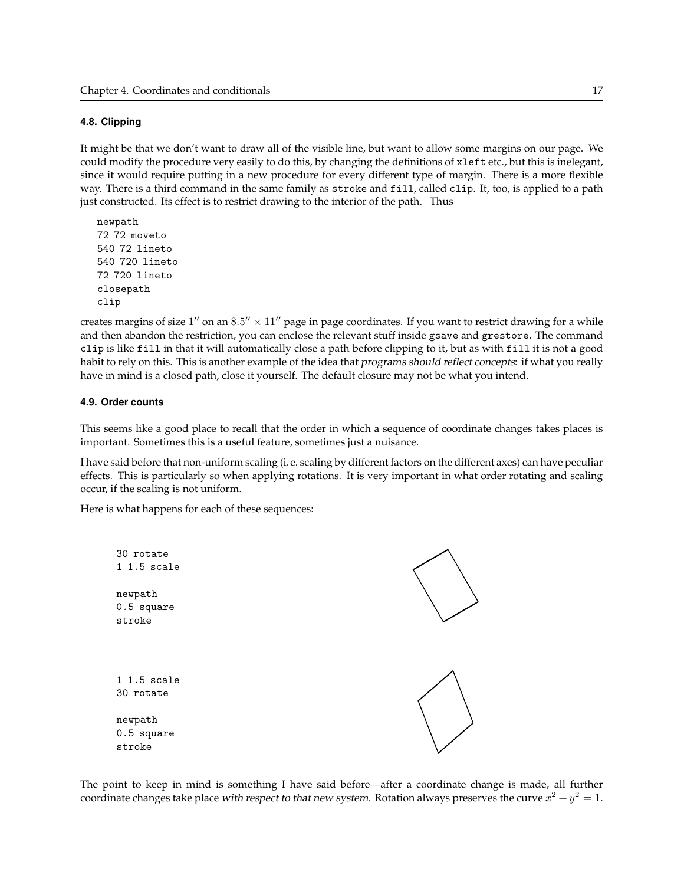## **4.8. Clipping**

It might be that we don't want to draw all of the visible line, but want to allow some margins on our page. We could modify the procedure very easily to do this, by changing the definitions of xleft etc., but this is inelegant, since it would require putting in a new procedure for every different type of margin. There is a more flexible way. There is a third command in the same family as stroke and fill, called clip. It, too, is applied to a path just constructed. Its effect is to restrict drawing to the interior of the path. Thus

newpath 72 72 moveto 540 72 lineto 540 720 lineto 72 720 lineto closepath clip

creates margins of size  $1''$  on an  $8.5'' \times 11''$  page in page coordinates. If you want to restrict drawing for a while and then abandon the restriction, you can enclose the relevant stuff inside gsave and grestore. The command clip is like fill in that it will automatically close a path before clipping to it, but as with fill it is not a good habit to rely on this. This is another example of the idea that *programs should reflect concepts*: if what you really have in mind is a closed path, close it yourself. The default closure may not be what you intend.

## **4.9. Order counts**

This seems like a good place to recall that the order in which a sequence of coordinate changes takes places is important. Sometimes this is a useful feature, sometimes just a nuisance.

I have said before that non-uniform scaling (i.e. scaling by different factors on the different axes) can have peculiar effects. This is particularly so when applying rotations. It is very important in what order rotating and scaling occur, if the scaling is not uniform.

Here is what happens for each of these sequences:



The point to keep in mind is something I have said before—after a coordinate change is made, all further coordinate changes take place with respect to that new system. Rotation always preserves the curve  $x^2+y^2=1.$